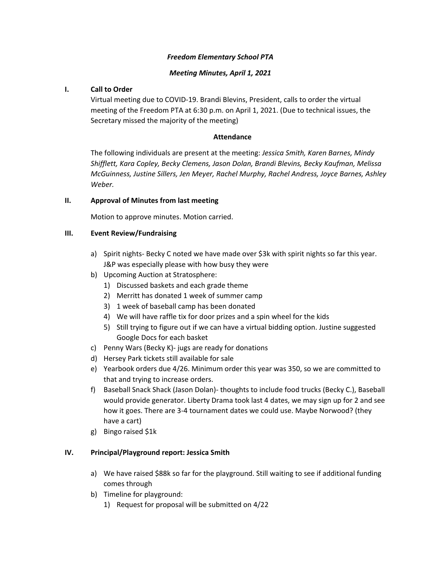# *Freedom Elementary School PTA*

# *Meeting Minutes, April 1, 2021*

### **I. Call to Order**

Virtual meeting due to COVID-19. Brandi Blevins, President, calls to order the virtual meeting of the Freedom PTA at 6:30 p.m. on April 1, 2021. (Due to technical issues, the Secretary missed the majority of the meeting)

#### **Attendance**

The following individuals are present at the meeting: *Jessica Smith, Karen Barnes, Mindy Shifflett, Kara Copley, Becky Clemens, Jason Dolan, Brandi Blevins, Becky Kaufman, Melissa McGuinness, Justine Sillers, Jen Meyer, Rachel Murphy, Rachel Andress, Joyce Barnes, Ashley Weber.* 

#### **II. Approval of Minutes from last meeting**

Motion to approve minutes. Motion carried.

# **III. Event Review/Fundraising**

- a) Spirit nights- Becky C noted we have made over \$3k with spirit nights so far this year. J&P was especially please with how busy they were
- b) Upcoming Auction at Stratosphere:
	- 1) Discussed baskets and each grade theme
	- 2) Merritt has donated 1 week of summer camp
	- 3) 1 week of baseball camp has been donated
	- 4) We will have raffle tix for door prizes and a spin wheel for the kids
	- 5) Still trying to figure out if we can have a virtual bidding option. Justine suggested Google Docs for each basket
- c) Penny Wars (Becky K)- jugs are ready for donations
- d) Hersey Park tickets still available for sale
- e) Yearbook orders due 4/26. Minimum order this year was 350, so we are committed to that and trying to increase orders.
- f) Baseball Snack Shack (Jason Dolan)- thoughts to include food trucks (Becky C.), Baseball would provide generator. Liberty Drama took last 4 dates, we may sign up for 2 and see how it goes. There are 3-4 tournament dates we could use. Maybe Norwood? (they have a cart)
- g) Bingo raised \$1k

#### **IV. Principal/Playground report: Jessica Smith**

- a) We have raised \$88k so far for the playground. Still waiting to see if additional funding comes through
- b) Timeline for playground:
	- 1) Request for proposal will be submitted on 4/22